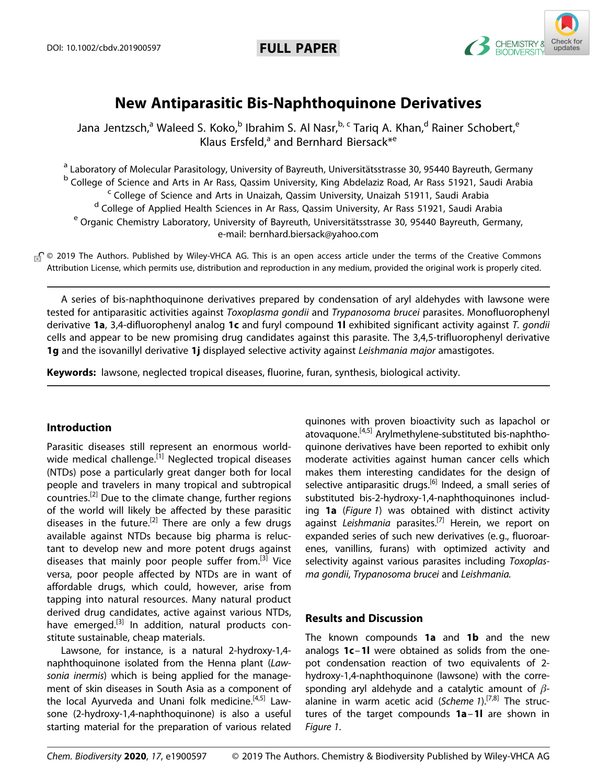

# **New Antiparasitic Bis-Naphthoquinone Derivatives**

Jana Jentzsch,<sup>a</sup> Waleed S. Koko,<sup>b</sup> Ibrahim S. Al Nasr,<sup>b, c</sup> Tariq A. Khan,<sup>d</sup> Rainer Schobert,<sup>e</sup> Klaus Ersfeld,<sup>a</sup> and [Bernhard](http://orcid.org/0000-0001-7305-346X) Biersack<sup>\*e</sup>

<sup>a</sup> Laboratory of Molecular Parasitology, University of Bayreuth, Universitätsstrasse 30, 95440 Bayreuth, Germany <sup>b</sup> College of Science and Arts in Ar Rass, Qassim University, King Abdelaziz Road, Ar Rass 51921, Saudi Arabia<br><sup>c</sup> College of Science and Arts in Unaizah, Qassim University, Unaizah 51911, Saudi Arabia <sup>d</sup> College of Applied Health Sciences in Ar Rass, Qassim University, Ar Rass 51921, Saudi Arabia <sup>e</sup> Organic Chemistry Laboratory, University of Bayreuth, Universitätsstrasse 30, 95440 Bayreuth, Germany, e-mail: bernhard.biersack@yahoo.com

n © 2019 The Authors. Published by Wiley-VHCA AG. This is an open access article under the terms of the Creative Commons Attribution License, which permits use, distribution and reproduction in any medium, provided the original work is properly cited.

A series of bis-naphthoquinone derivatives prepared by condensation of aryl aldehydes with lawsone were tested for antiparasitic activities against *Toxoplasma gondii* and *Trypanosoma brucei* parasites. Monofluorophenyl derivative **1a**, 3,4-difluorophenyl analog **1c** and furyl compound **1l** exhibited significant activity against *T. gondii* cells and appear to be new promising drug candidates against this parasite. The 3,4,5-trifluorophenyl derivative **1g** and the isovanillyl derivative **1j** displayed selective activity against *Leishmania major* amastigotes.

**Keywords:** lawsone, neglected tropical diseases, fluorine, furan, synthesis, biological activity.

# **Introduction**

Parasitic diseases still represent an enormous worldwide medical challenge.<sup>[1]</sup> Neglected tropical diseases (NTDs) pose a particularly great danger both for local people and travelers in many tropical and subtropical countries.[2] Due to the climate change, further regions of the world will likely be affected by these parasitic diseases in the future.<sup>[2]</sup> There are only a few drugs available against NTDs because big pharma is reluctant to develop new and more potent drugs against diseases that mainly poor people suffer from.[3] Vice versa, poor people affected by NTDs are in want of affordable drugs, which could, however, arise from tapping into natural resources. Many natural product derived drug candidates, active against various NTDs, have emerged.<sup>[3]</sup> In addition, natural products constitute sustainable, cheap materials.

Lawsone, for instance, is a natural 2-hydroxy-1,4 naphthoquinone isolated from the Henna plant (*Lawsonia inermis*) which is being applied for the management of skin diseases in South Asia as a component of the local Ayurveda and Unani folk medicine.<sup>[4,5]</sup> Lawsone (2-hydroxy-1,4-naphthoquinone) is also a useful starting material for the preparation of various related

quinones with proven bioactivity such as lapachol or atovaquone.<sup>[4,5]</sup> Arylmethylene-substituted bis-naphthoquinone derivatives have been reported to exhibit only moderate activities against human cancer cells which makes them interesting candidates for the design of selective antiparasitic drugs.<sup>[6]</sup> Indeed, a small series of substituted bis-2-hydroxy-1,4-naphthoquinones including **1a** (*Figure 1*) was obtained with distinct activity against *Leishmania* parasites.[7] Herein, we report on expanded series of such new derivatives (e.g., fluoroarenes, vanillins, furans) with optimized activity and selectivity against various parasites including *Toxoplasma gondii*, *Trypanosoma brucei* and *Leishmania.*

# **Results and Discussion**

The known compounds **1a** and **1b** and the new analogs **1c**–**1l** were obtained as solids from the onepot condensation reaction of two equivalents of 2 hydroxy-1,4-naphthoquinone (lawsone) with the corresponding aryl aldehyde and a catalytic amount of *β*alanine in warm acetic acid (*Scheme 1*).[7,8] The structures of the target compounds **1a**–**1l** are shown in *Figure 1*.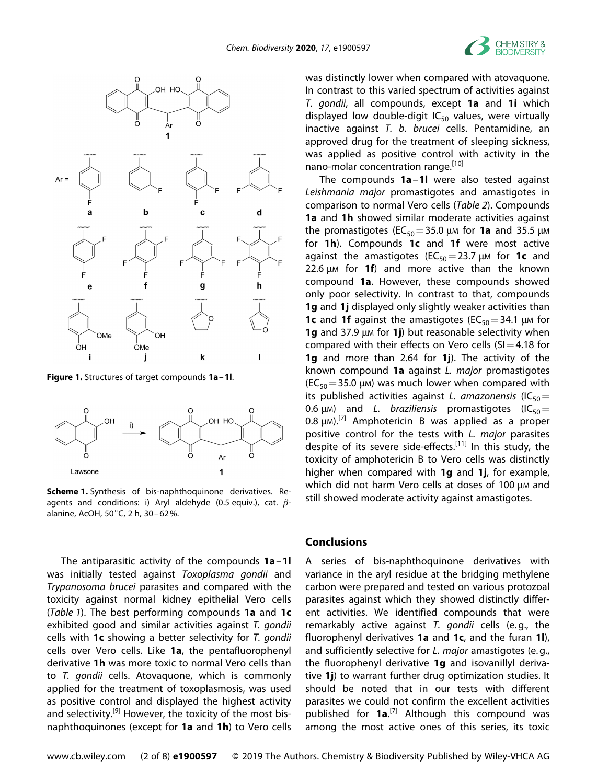



**Figure 1.** Structures of target compounds **1a**–**1l**.



**Scheme 1.** Synthesis of bis-naphthoquinone derivatives. Reagents and conditions: i) Aryl aldehyde (0.5 equiv.), cat. *β*alanine, AcOH, 50°C, 2 h, 30–62%.

The antiparasitic activity of the compounds **1a**–**1l** was initially tested against *Toxoplasma gondii* and *Trypanosoma brucei* parasites and compared with the toxicity against normal kidney epithelial Vero cells (*Table 1*). The best performing compounds **1a** and **1c** exhibited good and similar activities against *T. gondii* cells with **1c** showing a better selectivity for *T. gondii* cells over Vero cells. Like **1a**, the pentafluorophenyl derivative **1h** was more toxic to normal Vero cells than to *T. gondii* cells. Atovaquone, which is commonly applied for the treatment of toxoplasmosis, was used as positive control and displayed the highest activity and selectivity.<sup>[9]</sup> However, the toxicity of the most bisnaphthoquinones (except for **1a** and **1h**) to Vero cells was distinctly lower when compared with atovaquone. In contrast to this varied spectrum of activities against *T. gondii*, all compounds, except **1a** and **1i** which displayed low double-digit  $IC_{50}$  values, were virtually inactive against *T. b. brucei* cells. Pentamidine, an approved drug for the treatment of sleeping sickness, was applied as positive control with activity in the nano-molar concentration range.<sup>[10]</sup>

The compounds **1a**–**1l** were also tested against *Leishmania major* promastigotes and amastigotes in comparison to normal Vero cells (*Table 2*). Compounds **1a** and **1h** showed similar moderate activities against the promastigotes ( $EC_{50}$ =35.0 μM for **1a** and 35.5 μM for **1h**). Compounds **1c** and **1f** were most active against the amastigotes ( $EC_{50} = 23.7 \mu$ M for **1c** and 22.6 μM for **1f**) and more active than the known compound **1a**. However, these compounds showed only poor selectivity. In contrast to that, compounds **1g** and **1j** displayed only slightly weaker activities than **1c** and **1f** against the amastigotes ( $EC_{50} = 34.1$  μm for **1g** and 37.9 μM for **1j**) but reasonable selectivity when compared with their effects on Vero cells  $(S=4.18$  for **1g** and more than 2.64 for **1j**). The activity of the known compound **1a** against *L. major* promastigotes  $(EC_{50} = 35.0 \mu M)$  was much lower when compared with its published activities against *L. amazonensis* (IC<sub>50</sub>= 0.6 μM) and *L. braziliensis* promastigotes (IC<sub>50</sub>= 0.8  $\mu$ M).<sup>[7]</sup> Amphotericin B was applied as a proper positive control for the tests with *L. major* parasites despite of its severe side-effects.<sup>[11]</sup> In this study, the toxicity of amphotericin B to Vero cells was distinctly higher when compared with **1g** and **1j**, for example, which did not harm Vero cells at doses of 100 μm and still showed moderate activity against amastigotes.

#### **Conclusions**

A series of bis-naphthoquinone derivatives with variance in the aryl residue at the bridging methylene carbon were prepared and tested on various protozoal parasites against which they showed distinctly different activities. We identified compounds that were remarkably active against *T. gondii* cells (e.g., the fluorophenyl derivatives **1a** and **1c**, and the furan **1l**), and sufficiently selective for *L. major* amastigotes (e.g., the fluorophenyl derivative **1g** and isovanillyl derivative **1j**) to warrant further drug optimization studies. It should be noted that in our tests with different parasites we could not confirm the excellent activities published for **1a**.<sup>[7]</sup> Although this compound was among the most active ones of this series, its toxic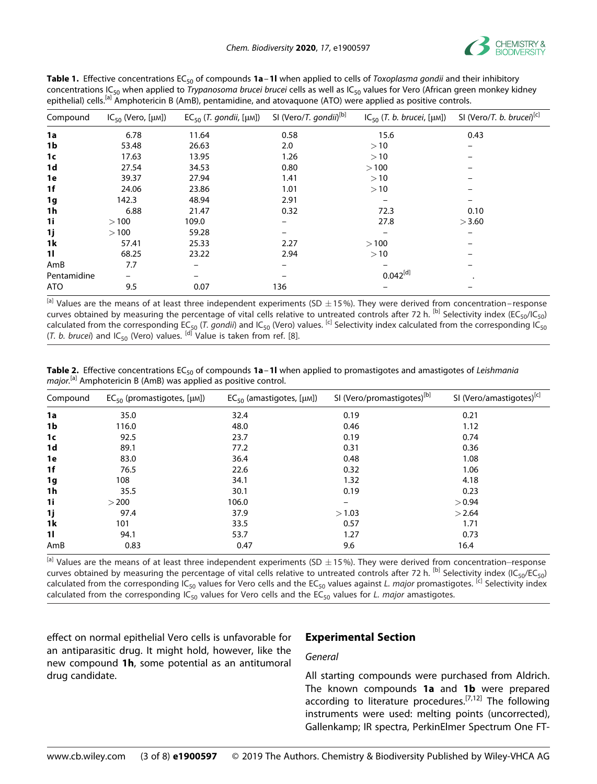

| Compound    | $IC_{50}$ (Vero, [µM]) | $EC_{50}$ (T. gondii, [µM]) | SI (Vero/T. gondii) <sup>[b]</sup> | $IC_{50}$ (T. b. brucei, [ $\mu$ M]) | SI (Vero/T. b. brucei) <sup>[c]</sup> |
|-------------|------------------------|-----------------------------|------------------------------------|--------------------------------------|---------------------------------------|
| 1a          | 6.78                   | 11.64                       | 0.58                               | 15.6                                 | 0.43                                  |
| 1b          | 53.48                  | 26.63                       | 2.0                                | >10                                  |                                       |
| 1c          | 17.63                  | 13.95                       | 1.26                               | >10                                  |                                       |
| 1d          | 27.54                  | 34.53                       | 0.80                               | >100                                 |                                       |
| 1e          | 39.37                  | 27.94                       | 1.41                               | >10                                  |                                       |
| 1f          | 24.06                  | 23.86                       | 1.01                               | >10                                  |                                       |
| 1g          | 142.3                  | 48.94                       | 2.91                               |                                      |                                       |
| 1h          | 6.88                   | 21.47                       | 0.32                               | 72.3                                 | 0.10                                  |
| 1i          | >100                   | 109.0                       |                                    | 27.8                                 | >3.60                                 |
| 1j          | >100                   | 59.28                       |                                    |                                      |                                       |
| 1k          | 57.41                  | 25.33                       | 2.27                               | >100                                 |                                       |
| 11          | 68.25                  | 23.22                       | 2.94                               | >10                                  |                                       |
| AmB         | 7.7                    |                             |                                    |                                      |                                       |
| Pentamidine | -                      |                             |                                    | $0.042^{[d]}$                        |                                       |
| <b>ATO</b>  | 9.5                    | 0.07                        | 136                                |                                      |                                       |

**Table 1.** Effective concentrations EC<sub>50</sub> of compounds **1a**−1**l** when applied to cells of *Toxoplasma gondii* and their inhibitory concentrations IC50 when applied to *Trypanosoma brucei brucei* cells as well as IC50 values for Vero (African green monkey kidney epithelial) cells.<sup>[a]</sup> Amphotericin B (AmB), pentamidine, and atovaquone (ATO) were applied as positive controls.

 $[$ a] Values are the means of at least three independent experiments (SD  $\pm$ 15%). They were derived from concentration–response curves obtained by measuring the percentage of vital cells relative to untreated controls after 72 h. <sup>[b]</sup> Selectivity index (EC<sub>50</sub>/IC<sub>50</sub>) calculated from the corresponding EC<sub>50</sub> (*T. gondii*) and IC<sub>50</sub> (Vero) values. <sup>[c]</sup> Selectivity index calculated from the corresponding IC<sub>50</sub>  $(T. b. brucei)$  and  $IC_{50}$  (Vero) values.  $\left[$ <sup>d]</sup> Value is taken from ref.  $[8]$ .

Table 2. Effective concentrations EC<sub>50</sub> of compounds 1a-1l when applied to promastigotes and amastigotes of *Leishmania major.*[a] Amphotericin B (AmB) was applied as positive control.

| Compound       | $EC_{50}$ (promastigotes, [µM]) | $EC_{50}$ (amastigotes, [ $\mu$ M]) | SI (Vero/promastigotes) <sup>[b]</sup> | SI (Vero/amastigotes) <sup>[c]</sup> |
|----------------|---------------------------------|-------------------------------------|----------------------------------------|--------------------------------------|
| 1a             | 35.0                            | 32.4                                | 0.19                                   | 0.21                                 |
| 1b             | 116.0                           | 48.0                                | 0.46                                   | 1.12                                 |
| 1 <sub>c</sub> | 92.5                            | 23.7                                | 0.19                                   | 0.74                                 |
| 1d             | 89.1                            | 77.2                                | 0.31                                   | 0.36                                 |
| 1e             | 83.0                            | 36.4                                | 0.48                                   | 1.08                                 |
| 1f             | 76.5                            | 22.6                                | 0.32                                   | 1.06                                 |
| 1g             | 108                             | 34.1                                | 1.32                                   | 4.18                                 |
| 1h             | 35.5                            | 30.1                                | 0.19                                   | 0.23                                 |
| 1i             | > 200                           | 106.0                               | -                                      | > 0.94                               |
| 1j             | 97.4                            | 37.9                                | >1.03                                  | >2.64                                |
| 1k             | 101                             | 33.5                                | 0.57                                   | 1.71                                 |
| $\mathbf{1}$   | 94.1                            | 53.7                                | 1.27                                   | 0.73                                 |
| AmB            | 0.83                            | 0.47                                | 9.6                                    | 16.4                                 |

 $[$ a] Values are the means of at least three independent experiments (SD  $\pm$ 15%). They were derived from concentration–response curves obtained by measuring the percentage of vital cells relative to untreated controls after 72 h. <sup>[b]</sup> Selectivity index (IC<sub>50</sub>/EC<sub>50</sub>) calculated from the corresponding IC<sub>50</sub> values for Vero cells and the EC<sub>50</sub> values against *L. major* promastigotes. <sup>[c]</sup> Selectivity index calculated from the corresponding  $IC_{50}$  values for Vero cells and the  $EC_{50}$  values for *L. major* amastigotes.

effect on normal epithelial Vero cells is unfavorable for an antiparasitic drug. It might hold, however, like the new compound **1h**, some potential as an antitumoral drug candidate.

## **Experimental Section**

#### *General*

All starting compounds were purchased from Aldrich. The known compounds **1a** and **1b** were prepared according to literature procedures.<sup>[7,12]</sup> The following instruments were used: melting points (uncorrected), Gallenkamp; IR spectra, PerkinElmer Spectrum One FT-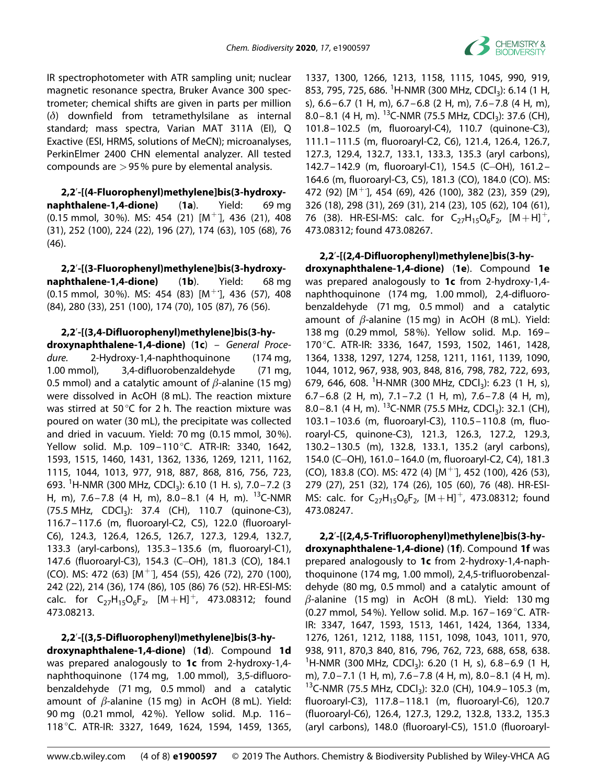

IR spectrophotometer with ATR sampling unit; nuclear magnetic resonance spectra, Bruker Avance 300 spectrometer; chemical shifts are given in parts per million (*δ*) downfield from tetramethylsilane as internal standard; mass spectra, Varian MAT 311A (EI), Q Exactive (ESI, HRMS, solutions of MeCN); microanalyses, PerkinElmer 2400 CHN elemental analyzer. All tested compounds are *>*95% pure by elemental analysis.

**2,2**'**-[(4-Fluorophenyl)methylene]bis(3-hydroxynaphthalene-1,4-dione)** (**1a**). Yield: 69 mg  $(0.15 \text{ mmol}, 30\%)$ . MS: 454  $(21)$   $[M^+]$ , 436  $(21)$ , 408 (31), 252 (100), 224 (22), 196 (27), 174 (63), 105 (68), 76 (46).

**2,2**'**-[(3-Fluorophenyl)methylene]bis(3-hydroxynaphthalene-1,4-dione)** (**1b**). Yield: 68 mg (0.15 mmol, 30%). MS: 454 (83) [M<sup>+</sup>**·** ], 436 (57), 408 (84), 280 (33), 251 (100), 174 (70), 105 (87), 76 (56).

**2,2**'**-[(3,4-Difluorophenyl)methylene]bis(3-hy-**

**droxynaphthalene-1,4-dione)** (**1c**) *– General Procedure.* 2-Hydroxy-1,4-naphthoquinone (174 mg, 1.00 mmol), 3,4-difluorobenzaldehyde (71 mg, 0.5 mmol) and a catalytic amount of *β*-alanine (15 mg) were dissolved in AcOH (8 mL). The reaction mixture was stirred at 50°C for 2 h. The reaction mixture was poured on water (30 mL), the precipitate was collected and dried in vacuum. Yield: 70 mg (0.15 mmol, 30%). Yellow solid. M.p. 109–110°C. ATR-IR: 3340, 1642, 1593, 1515, 1460, 1431, 1362, 1336, 1269, 1211, 1162, 1115, 1044, 1013, 977, 918, 887, 868, 816, 756, 723, 693. <sup>1</sup>H-NMR (300 MHz, CDCl<sub>3</sub>): 6.10 (1 H. s), 7.0-7.2 (3 H, m), 7.6–7.8 (4 H, m), 8.0–8.1 (4 H, m). <sup>13</sup>C-NMR  $(75.5 \text{ MHz}, \text{CDCl}_3): 37.4 \text{ (CH)}, 110.7 \text{ (quinone-C3)},$ 116.7–117.6 (m, fluoroaryl-C2, C5), 122.0 (fluoroaryl-C6), 124.3, 126.4, 126.5, 126.7, 127.3, 129.4, 132.7, 133.3 (aryl-carbons), 135.3–135.6 (m, fluoroaryl-C1), 147.6 (fluoroaryl-C3), 154.3 (C-OH), 181.3 (CO), 184.1 (CO). MS: 472 (63) [M<sup>+</sup>], 454 (55), 426 (72), 270 (100), 242 (22), 214 (36), 174 (86), 105 (86) 76 (52). HR-ESI-MS: calc. for  $C_{27}H_{15}O_6F_{2}$ ,  $[M+H]^+$ , 473.08312; found 473.08213.

**2,2**'**-[(3,5-Difluorophenyl)methylene]bis(3-hy-**

**droxynaphthalene-1,4-dione)** (**1d**). Compound **1d** was prepared analogously to **1c** from 2-hydroxy-1,4 naphthoquinone (174 mg, 1.00 mmol), 3,5-difluorobenzaldehyde (71 mg, 0.5 mmol) and a catalytic amount of *β*-alanine (15 mg) in AcOH (8 mL). Yield: 90 mg (0.21 mmol, 42%). Yellow solid. M.p. 116– 118°C. ATR-IR: 3327, 1649, 1624, 1594, 1459, 1365,

1337, 1300, 1266, 1213, 1158, 1115, 1045, 990, 919, 853, 795, 725, 686. <sup>1</sup>H-NMR (300 MHz, CDCl<sub>3</sub>): 6.14 (1 H, s), 6.6–6.7 (1 H, m), 6.7–6.8 (2 H, m), 7.6–7.8 (4 H, m), 8.0–8.1 (4 H, m). <sup>13</sup>C-NMR (75.5 MHz, CDCl<sub>3</sub>): 37.6 (CH), 101.8–102.5 (m, fluoroaryl-C4), 110.7 (quinone-C3), 111.1–111.5 (m, fluoroaryl-C2, C6), 121.4, 126.4, 126.7, 127.3, 129.4, 132.7, 133.1, 133.3, 135.3 (aryl carbons), 142.7–142.9 (m, fluoroaryl-C1), 154.5 (C-OH), 161.2– 164.6 (m, fluoroaryl-C3, C5), 181.3 (CO), 184.0 (CO). MS: 472 (92) [M<sup>+</sup>· ], 454 (69), 426 (100), 382 (23), 359 (29), 326 (18), 298 (31), 269 (31), 214 (23), 105 (62), 104 (61), 76 (38). HR-ESI-MS: calc. for  $C_{27}H_{15}O_6F_{2}$ ,  $[M+H]^+$ , 473.08312; found 473.08267.

**2,2**'**-[(2,4-Difluorophenyl)methylene]bis(3-hydroxynaphthalene-1,4-dione)** (**1e**). Compound **1e** was prepared analogously to **1c** from 2-hydroxy-1,4 naphthoquinone (174 mg, 1.00 mmol), 2,4-difluorobenzaldehyde (71 mg, 0.5 mmol) and a catalytic amount of *β*-alanine (15 mg) in AcOH (8 mL). Yield: 138 mg (0.29 mmol, 58%). Yellow solid. M.p. 169– 170°C. ATR-IR: 3336, 1647, 1593, 1502, 1461, 1428, 1364, 1338, 1297, 1274, 1258, 1211, 1161, 1139, 1090, 1044, 1012, 967, 938, 903, 848, 816, 798, 782, 722, 693, 679, 646, 608. <sup>1</sup>H-NMR (300 MHz, CDCl<sub>3</sub>): 6.23 (1 H, s), 6.7–6.8 (2 H, m), 7.1–7.2 (1 H, m), 7.6–7.8 (4 H, m), 8.0–8.1 (4 H, m). <sup>13</sup>C-NMR (75.5 MHz, CDCl<sub>3</sub>): 32.1 (CH), 103.1–103.6 (m, fluoroaryl-C3), 110.5–110.8 (m, fluoroaryl-C5, quinone-C3), 121.3, 126.3, 127.2, 129.3, 130.2–130.5 (m), 132.8, 133.1, 135.2 (aryl carbons), 154.0 (C-OH), 161.0-164.0 (m, fluoroaryl-C2, C4), 181.3 (CO), 183.8 (CO). MS: 472 (4) [M<sup>+</sup>], 452 (100), 426 (53), 279 (27), 251 (32), 174 (26), 105 (60), 76 (48). HR-ESI-MS: calc. for  $C_{27}H_{15}O_6F_{2}$ ,  $[M+H]^+$ , 473.08312; found 473.08247.

**2,2**'**-[(2,4,5-Trifluorophenyl)methylene]bis(3-hydroxynaphthalene-1,4-dione)** (**1f**). Compound **1f** was prepared analogously to **1c** from 2-hydroxy-1,4-naphthoquinone (174 mg, 1.00 mmol), 2,4,5-trifluorobenzaldehyde (80 mg, 0.5 mmol) and a catalytic amount of *β*-alanine (15 mg) in AcOH (8 mL). Yield: 130 mg (0.27 mmol, 54%). Yellow solid. M.p. 167–169 °C. ATR-IR: 3347, 1647, 1593, 1513, 1461, 1424, 1364, 1334, 1276, 1261, 1212, 1188, 1151, 1098, 1043, 1011, 970, 938, 911, 870,3 840, 816, 796, 762, 723, 688, 658, 638.  $1$ H-NMR (300 MHz, CDCl<sub>3</sub>): 6.20 (1 H, s), 6.8–6.9 (1 H, m), 7.0–7.1 (1 H, m), 7.6–7.8 (4 H, m), 8.0–8.1 (4 H, m). <sup>13</sup>C-NMR (75.5 MHz, CDCl<sub>3</sub>): 32.0 (CH), 104.9 – 105.3 (m, fluoroaryl-C3), 117.8–118.1 (m, fluoroaryl-C6), 120.7 (fluoroaryl-C6), 126.4, 127.3, 129.2, 132.8, 133.2, 135.3 (aryl carbons), 148.0 (fluoroaryl-C5), 151.0 (fluoroaryl-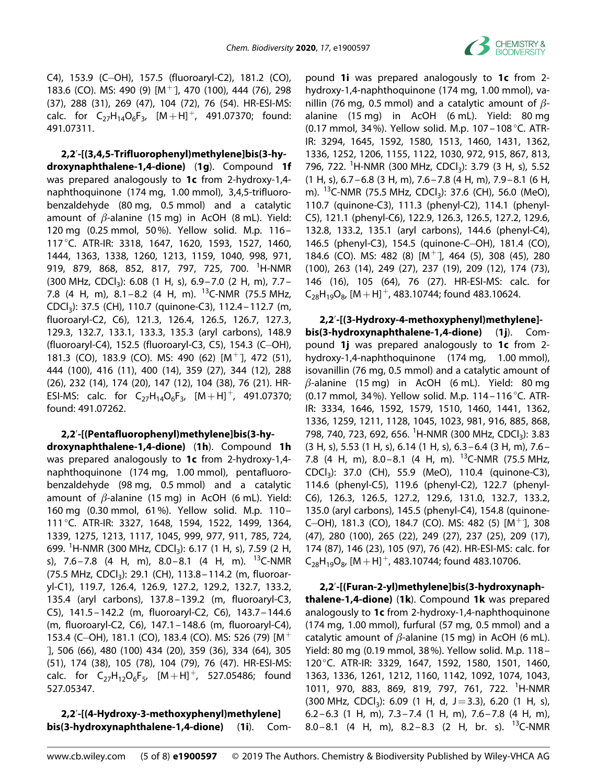

C4), 153.9 (C-OH), 157.5 (fluoroaryl-C2), 181.2 (CO), 183.6 (CO). MS: 490 (9) [M<sup>+</sup>], 470 (100), 444 (76), 298 (37), 288 (31), 269 (47), 104 (72), 76 (54). HR-ESI-MS: calc. for  $C_{27}H_{14}O_6F_3$ ,  $[M+H]^+$ , 491.07370; found: 491.07311.

**2,2**'**-[(3,4,5-Trifluorophenyl)methylene]bis(3-hydroxynaphthalene-1,4-dione)** (**1g**). Compound **1f** was prepared analogously to **1c** from 2-hydroxy-1,4 naphthoquinone (174 mg, 1.00 mmol), 3,4,5-trifluorobenzaldehyde (80 mg, 0.5 mmol) and a catalytic amount of *β*-alanine (15 mg) in AcOH (8 mL). Yield: 120 mg (0.25 mmol, 50%). Yellow solid. M.p. 116– 117°C. ATR-IR: 3318, 1647, 1620, 1593, 1527, 1460, 1444, 1363, 1338, 1260, 1213, 1159, 1040, 998, 971, 919, 879, 868, 852, 817, 797, 725, 700. <sup>1</sup>H-NMR  $(300 \text{ MHz}, \text{CDCl}_3)$ : 6.08 (1 H, s), 6.9 – 7.0 (2 H, m), 7.7 – 7.8 (4 H, m),  $8.1 - 8.2$  (4 H, m). <sup>13</sup>C-NMR (75.5 MHz, CDCl3): 37.5 (CH), 110.7 (quinone-C3), 112.4–112.7 (m, fluoroaryl-C2, C6), 121.3, 126.4, 126.5, 126.7, 127.3, 129.3, 132.7, 133.1, 133.3, 135.3 (aryl carbons), 148.9 (fluoroaryl-C4), 152.5 (fluoroaryl-C3, C5), 154.3 (C-OH), 181.3 (CO), 183.9 (CO). MS: 490 (62) [M<sup>+</sup>], 472 (51), 444 (100), 416 (11), 400 (14), 359 (27), 344 (12), 288 (26), 232 (14), 174 (20), 147 (12), 104 (38), 76 (21). HR-ESI-MS: calc. for  $C_{27}H_{14}O_6F_3$ ,  $[M+H]^+$ , 491.07370; found: 491.07262.

## **2,2**'**-[(Pentafluorophenyl)methylene]bis(3-hy-**

**droxynaphthalene-1,4-dione)** (**1h**). Compound **1h** was prepared analogously to **1c** from 2-hydroxy-1,4 naphthoquinone (174 mg, 1.00 mmol), pentafluorobenzaldehyde (98 mg, 0.5 mmol) and a catalytic amount of *β*-alanine (15 mg) in AcOH (6 mL). Yield: 160 mg (0.30 mmol, 61%). Yellow solid. M.p. 110– 111°C. ATR-IR: 3327, 1648, 1594, 1522, 1499, 1364, 1339, 1275, 1213, 1117, 1045, 999, 977, 911, 785, 724, 699. <sup>1</sup>H-NMR (300 MHz, CDCl<sub>3</sub>): 6.17 (1 H, s), 7.59 (2 H, s), 7.6–7.8 (4 H, m), 8.0–8.1 (4 H, m).  $^{13}$ C-NMR (75.5 MHz, CDCl<sub>3</sub>): 29.1 (CH), 113.8-114.2 (m, fluoroaryl-C1), 119.7, 126.4, 126.9, 127.2, 129.2, 132.7, 133.2, 135.4 (aryl carbons), 137.8–139.2 (m, fluoroaryl-C3, C5), 141.5–142.2 (m, fluoroaryl-C2, C6), 143.7–144.6 (m, fluoroaryl-C2, C6), 147.1–148.6 (m, fluoroaryl-C4), 153.4 (C-OH), 181.1 (CO), 183.4 (CO). MS: 526 (79) [M<sup>+</sup> · ], 506 (66), 480 (100) 434 (20), 359 (36), 334 (64), 305 (51), 174 (38), 105 (78), 104 (79), 76 (47). HR-ESI-MS: calc. for  $C_{27}H_{12}O_6F_5$ ,  $[M+H]^+$ , 527.05486; found 527.05347.

**2,2**'**-[(4-Hydroxy-3-methoxyphenyl)methylene] bis(3-hydroxynaphthalene-1,4-dione)** (**1i**). Com-

pound **1i** was prepared analogously to **1c** from 2 hydroxy-1,4-naphthoquinone (174 mg, 1.00 mmol), vanillin (76 mg, 0.5 mmol) and a catalytic amount of *β*alanine (15 mg) in AcOH (6 mL). Yield: 80 mg (0.17 mmol, 34%). Yellow solid. M.p. 107–108 °C. ATR-IR: 3294, 1645, 1592, 1580, 1513, 1460, 1431, 1362, 1336, 1252, 1206, 1155, 1122, 1030, 972, 915, 867, 813, 796, 722. <sup>1</sup>H-NMR (300 MHz, CDCl<sub>3</sub>): 3.79 (3 H, s), 5.52  $(1 H, s)$ , 6.7–6.8  $(3 H, m)$ , 7.6–7.8  $(4 H, m)$ , 7.9–8.1  $(6 H, m)$ m). <sup>13</sup>C-NMR (75.5 MHz, CDCl<sub>3</sub>): 37.6 (CH), 56.0 (MeO), 110.7 (quinone-C3), 111.3 (phenyl-C2), 114.1 (phenyl-C5), 121.1 (phenyl-C6), 122.9, 126.3, 126.5, 127.2, 129.6, 132.8, 133.2, 135.1 (aryl carbons), 144.6 (phenyl-C4), 146.5 (phenyl-C3), 154.5 (quinone-C-OH), 181.4 (CO), 184.6 (CO). MS: 482 (8) [M<sup>+</sup>], 464 (5), 308 (45), 280 (100), 263 (14), 249 (27), 237 (19), 209 (12), 174 (73), 146 (16), 105 (64), 76 (27). HR-ESI-MS: calc. for  $C_{28}H_{19}O_{8}$ ,  $[M+H]^+$ , 483.10744; found 483.10624.

**2,2**'**-[(3-Hydroxy-4-methoxyphenyl)methylene] bis(3-hydroxynaphthalene-1,4-dione)** (**1j**). Compound **1j** was prepared analogously to **1c** from 2 hydroxy-1,4-naphthoquinone (174 mg, 1.00 mmol), isovanillin (76 mg, 0.5 mmol) and a catalytic amount of *β*-alanine (15 mg) in AcOH (6 mL). Yield: 80 mg (0.17 mmol, 34%). Yellow solid. M.p. 114–116 °C. ATR-IR: 3334, 1646, 1592, 1579, 1510, 1460, 1441, 1362, 1336, 1259, 1211, 1128, 1045, 1023, 981, 916, 885, 868, 798, 740, 723, 692, 656. <sup>1</sup>H-NMR (300 MHz, CDCl<sub>3</sub>): 3.83 (3 H, s), 5.53 (1 H, s), 6.14 (1 H, s), 6.3–6.4 (3 H, m), 7.6– 7.8 (4 H, m), 8.0–8.1 (4 H, m). <sup>13</sup>C-NMR (75.5 MHz, CDCl3): 37.0 (CH), 55.9 (MeO), 110.4 (quinone-C3), 114.6 (phenyl-C5), 119.6 (phenyl-C2), 122.7 (phenyl-C6), 126.3, 126.5, 127.2, 129.6, 131.0, 132.7, 133.2, 135.0 (aryl carbons), 145.5 (phenyl-C4), 154.8 (quinone-C-OH), 181.3 (CO), 184.7 (CO). MS: 482 (5) [M<sup>+</sup>], 308 (47), 280 (100), 265 (22), 249 (27), 237 (25), 209 (17), 174 (87), 146 (23), 105 (97), 76 (42). HR-ESI-MS: calc. for  $C_{28}H_{19}O_{8}$ , [M + H]<sup>+</sup>, 483.10744; found 483.10706.

**2,2**'**-[(Furan-2-yl)methylene]bis(3-hydroxynaphthalene-1,4-dione)** (**1k**). Compound **1k** was prepared analogously to **1c** from 2-hydroxy-1,4-naphthoquinone (174 mg, 1.00 mmol), furfural (57 mg, 0.5 mmol) and a catalytic amount of *β*-alanine (15 mg) in AcOH (6 mL). Yield: 80 mg (0.19 mmol, 38%). Yellow solid. M.p. 118– 120°C. ATR-IR: 3329, 1647, 1592, 1580, 1501, 1460, 1363, 1336, 1261, 1212, 1160, 1142, 1092, 1074, 1043, 1011, 970, 883, 869, 819, 797, 761, 722. <sup>1</sup> H-NMR (300 MHz, CDCl<sub>3</sub>): 6.09 (1 H, d, J = 3.3), 6.20 (1 H, s), 6.2–6.3 (1 H, m), 7.3–7.4 (1 H, m), 7.6–7.8 (4 H, m), 8.0–8.1 (4 H, m), 8.2–8.3 (2 H, br. s). <sup>13</sup>C-NMR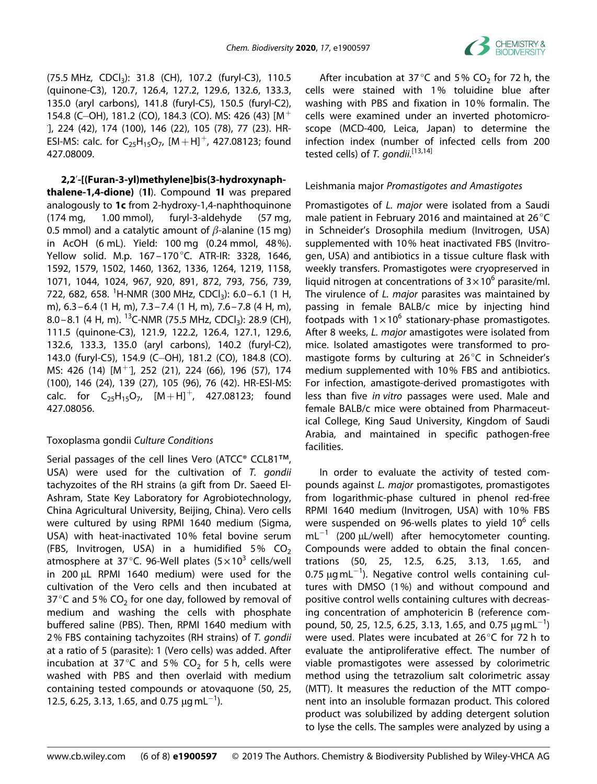

(75.5 MHz, CDCl<sub>3</sub>): 31.8 (CH), 107.2 (furyl-C3), 110.5 (quinone-C3), 120.7, 126.4, 127.2, 129.6, 132.6, 133.3, 135.0 (aryl carbons), 141.8 (furyl-C5), 150.5 (furyl-C2), 154.8 (C-OH), 181.2 (CO), 184.3 (CO). MS: 426 (43)  $IM<sup>+</sup>$ · ], 224 (42), 174 (100), 146 (22), 105 (78), 77 (23). HR-ESI-MS: calc. for  $C_{25}H_{15}O_{7}$ ,  $[M+H]^{+}$ , 427.08123; found 427.08009.

**2,2**'**-[(Furan-3-yl)methylene]bis(3-hydroxynaphthalene-1,4-dione)** (**1l**). Compound **1l** was prepared analogously to **1c** from 2-hydroxy-1,4-naphthoquinone (174 mg, 1.00 mmol), furyl-3-aldehyde (57 mg, 0.5 mmol) and a catalytic amount of *β*-alanine (15 mg) in AcOH (6 mL). Yield: 100 mg (0.24 mmol, 48%). Yellow solid. M.p. 167–170°C. ATR-IR: 3328, 1646, 1592, 1579, 1502, 1460, 1362, 1336, 1264, 1219, 1158, 1071, 1044, 1024, 967, 920, 891, 872, 793, 756, 739, 722, 682, 658. <sup>1</sup>H-NMR (300 MHz, CDCl<sub>3</sub>): 6.0–6.1 (1 H, m), 6.3–6.4 (1 H, m), 7.3–7.4 (1 H, m), 7.6–7.8 (4 H, m), 8.0–8.1 (4 H, m). <sup>13</sup>C-NMR (75.5 MHz, CDCl<sub>3</sub>): 28.9 (CH), 111.5 (quinone-C3), 121.9, 122.2, 126.4, 127.1, 129.6, 132.6, 133.3, 135.0 (aryl carbons), 140.2 (furyl-C2), 143.0 (furyl-C5), 154.9 (C-OH), 181.2 (CO), 184.8 (CO). MS: 426 (14) [M<sup>+</sup>], 252 (21), 224 (66), 196 (57), 174 (100), 146 (24), 139 (27), 105 (96), 76 (42). HR-ESI-MS: calc. for  $C_{25}H_{15}O_7$ ,  $[M+H]^+$ , 427.08123; found 427.08056.

## Toxoplasma gondii *Culture Conditions*

Serial passages of the cell lines Vero (ATCC® CCL81™, USA) were used for the cultivation of *T. gondii* tachyzoites of the RH strains (a gift from Dr. Saeed El-Ashram, State Key Laboratory for Agrobiotechnology, China Agricultural University, Beijing, China). Vero cells were cultured by using RPMI 1640 medium (Sigma, USA) with heat-inactivated 10% fetal bovine serum (FBS, Invitrogen, USA) in a humidified 5%  $CO<sub>2</sub>$ atmosphere at 37 °C. 96-Well plates  $(5 \times 10^3 \text{ cells/well})$ in 200 μL RPMI 1640 medium) were used for the cultivation of the Vero cells and then incubated at 37 °C and 5% CO<sub>2</sub> for one day, followed by removal of medium and washing the cells with phosphate buffered saline (PBS). Then, RPMI 1640 medium with 2% FBS containing tachyzoites (RH strains) of *T. gondii* at a ratio of 5 (parasite): 1 (Vero cells) was added. After incubation at 37 $^{\circ}$ C and 5% CO<sub>2</sub> for 5 h, cells were washed with PBS and then overlaid with medium containing tested compounds or atovaquone (50, 25, 12.5, 6.25, 3.13, 1.65, and 0.75  $\mu$ g mL<sup>-1</sup>).

After incubation at 37 $^{\circ}$ C and 5% CO<sub>2</sub> for 72 h, the cells were stained with 1% toluidine blue after washing with PBS and fixation in 10% formalin. The cells were examined under an inverted photomicroscope (MCD-400, Leica, Japan) to determine the infection index (number of infected cells from 200 tested cells) of *T. gondii.*[13,14]

## Leishmania major *Promastigotes and Amastigotes*

Promastigotes of *L. major* were isolated from a Saudi male patient in February 2016 and maintained at 26°C in Schneider's Drosophila medium (Invitrogen, USA) supplemented with 10% heat inactivated FBS (Invitrogen, USA) and antibiotics in a tissue culture flask with weekly transfers. Promastigotes were cryopreserved in liquid nitrogen at concentrations of  $3 \times 10^6$  parasite/ml. The virulence of *L. major* parasites was maintained by passing in female BALB/c mice by injecting hind footpads with  $1 \times 10^6$  stationary-phase promastigotes. After 8 weeks, *L. major* amastigotes were isolated from mice. Isolated amastigotes were transformed to promastigote forms by culturing at 26°C in Schneider's medium supplemented with 10% FBS and antibiotics. For infection, amastigote-derived promastigotes with less than five *in vitro* passages were used. Male and female BALB/c mice were obtained from Pharmaceutical College, King Saud University, Kingdom of Saudi Arabia, and maintained in specific pathogen-free facilities.

In order to evaluate the activity of tested compounds against *L. major* promastigotes, promastigotes from logarithmic-phase cultured in phenol red-free RPMI 1640 medium (Invitrogen, USA) with 10% FBS were suspended on 96-wells plates to yield  $10^6$  cells  $mL^{-1}$  (200  $\mu$ L/well) after hemocytometer counting. Compounds were added to obtain the final concentrations (50, 25, 12.5, 6.25, 3.13, 1.65, and 0.75  $\mu$ gmL<sup>-1</sup>). Negative control wells containing cultures with DMSO (1%) and without compound and positive control wells containing cultures with decreasing concentration of amphotericin B (reference compound, 50, 25, 12.5, 6.25, 3.13, 1.65, and 0.75  $\mu$ g mL<sup>-1</sup>) were used. Plates were incubated at 26°C for 72 h to evaluate the antiproliferative effect. The number of viable promastigotes were assessed by colorimetric method using the tetrazolium salt colorimetric assay (MTT). It measures the reduction of the MTT component into an insoluble formazan product. This colored product was solubilized by adding detergent solution to lyse the cells. The samples were analyzed by using a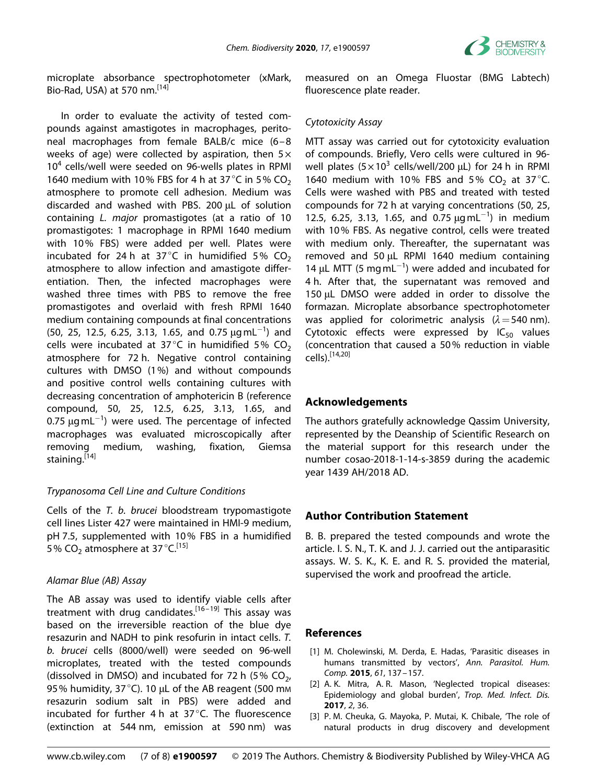

microplate absorbance spectrophotometer (xMark, Bio-Rad, USA) at 570 nm.<sup>[14]</sup>

In order to evaluate the activity of tested compounds against amastigotes in macrophages, peritoneal macrophages from female BALB/c mice (6–8 weeks of age) were collected by aspiration, then  $5\times$  $10<sup>4</sup>$  cells/well were seeded on 96-wells plates in RPMI 1640 medium with 10% FBS for 4 h at 37 °C in 5% CO<sub>2</sub> atmosphere to promote cell adhesion. Medium was discarded and washed with PBS. 200 μL of solution containing *L. major* promastigotes (at a ratio of 10 promastigotes: 1 macrophage in RPMI 1640 medium with 10% FBS) were added per well. Plates were incubated for 24 h at 37 $^{\circ}$ C in humidified 5% CO<sub>2</sub> atmosphere to allow infection and amastigote differentiation. Then, the infected macrophages were washed three times with PBS to remove the free promastigotes and overlaid with fresh RPMI 1640 medium containing compounds at final concentrations (50, 25, 12.5, 6.25, 3.13, 1.65, and 0.75  $\mu$ gmL<sup>-1</sup>) and cells were incubated at 37 $^{\circ}$ C in humidified 5% CO<sub>2</sub> atmosphere for 72 h. Negative control containing cultures with DMSO (1%) and without compounds and positive control wells containing cultures with decreasing concentration of amphotericin B (reference compound, 50, 25, 12.5, 6.25, 3.13, 1.65, and 0.75  $\mu$ gmL $^{-1}$ ) were used. The percentage of infected macrophages was evaluated microscopically after removing medium, washing, fixation, Giemsa staining.<sup>[14]</sup>

# *Trypanosoma Cell Line and Culture Conditions*

Cells of the *T. b. brucei* bloodstream trypomastigote cell lines Lister 427 were maintained in HMI-9 medium, pH 7.5, supplemented with 10% FBS in a humidified 5% CO<sub>2</sub> atmosphere at 37 $^{\circ}$ C.<sup>[15]</sup>

# *Alamar Blue (AB) Assay*

The AB assay was used to identify viable cells after treatment with drug candidates.<sup>[16–19]</sup> This assay was based on the irreversible reaction of the blue dye resazurin and NADH to pink resofurin in intact cells. *T. b. brucei* cells (8000/well) were seeded on 96-well microplates, treated with the tested compounds (dissolved in DMSO) and incubated for 72 h (5%  $CO<sub>2</sub>$ , 95% humidity, 37 °C). 10 μL of the AB reagent (500 mm resazurin sodium salt in PBS) were added and incubated for further 4 h at 37 °C. The fluorescence (extinction at 544 nm, emission at 590 nm) was

measured on an Omega Fluostar (BMG Labtech) fluorescence plate reader.

## *Cytotoxicity Assay*

MTT assay was carried out for cytotoxicity evaluation of compounds. Briefly, Vero cells were cultured in 96 well plates  $(5 \times 10^3 \text{ cells/well}/200 \text{ µ})$  for 24 h in RPMI 1640 medium with 10% FBS and 5% CO<sub>2</sub> at 37°C. Cells were washed with PBS and treated with tested compounds for 72 h at varying concentrations (50, 25, 12.5, 6.25, 3.13, 1.65, and 0.75  $\mu$ gmL<sup>-1</sup>) in medium with 10% FBS. As negative control, cells were treated with medium only. Thereafter, the supernatant was removed and 50 μL RPMI 1640 medium containing 14  $\mu$ L MTT (5 mg mL<sup>-1</sup>) were added and incubated for 4 h. After that, the supernatant was removed and 150 μL DMSO were added in order to dissolve the formazan. Microplate absorbance spectrophotometer was applied for colorimetric analysis (*λ*=540 nm). Cytotoxic effects were expressed by  $IC_{50}$  values (concentration that caused a 50% reduction in viable cells).[14,20]

# **Acknowledgements**

The authors gratefully acknowledge Qassim University, represented by the Deanship of Scientific Research on the material support for this research under the number cosao-2018-1-14-s-3859 during the academic year 1439 AH/2018 AD.

# **Author Contribution Statement**

B. B. prepared the tested compounds and wrote the article. I. S. N., T. K. and J. J. carried out the antiparasitic assays. W. S. K., K. E. and R. S. provided the material, supervised the work and proofread the article.

# **References**

- [1] M. Cholewinski, M. Derda, E. Hadas, 'Parasitic diseases in humans transmitted by vectors', *Ann. Parasitol. Hum. Comp.* **2015**, *61*, 137–157.
- [2] A. K. Mitra, A. R. Mason, 'Neglected tropical diseases: Epidemiology and global burden', *Trop. Med. Infect. Dis.* **2017**, *2*, 36.
- [3] P. M. Cheuka, G. Mayoka, P. Mutai, K. Chibale, 'The role of natural products in drug discovery and development